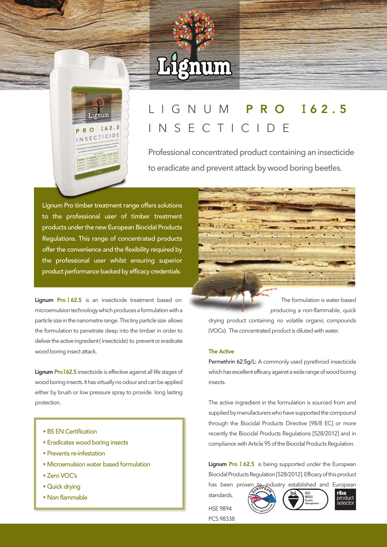# Lignum



## I G N U M P R O 162.5 I N S E C T I C I D E

Professional concentrated product containing an insecticide to eradicate and prevent attack by wood boring beetles.

Lignum Pro timber treatment range offers solutions to the professional user of timber treatment products under the new European Biocidal Products Regulations. This range of concentrated products offer the convenience and the flexibility required by the professional user whilst ensuring superior product performance backed by efficacy credentials.

Lignum Pro I62.5 is an insecticide treatment based on microemulsion technology which produces a formulation with a particle size in the nanometre range. This tiny particle size allows the formulation to penetrate deep into the timber in order to deliver the active ingredient (insecticide) to prevent or eradicate wood boring insect attack.

Lignum Pro I62.5 insecticide is effective against all life stages of wood boring insects. It has virtually no odour and can be applied either by brush or low pressure spray to provide long lasting protection.

- BS EN Certification
- Eradicates wood boring insects
- Prevents re-infestation
- Microemulsion water based formulation
- Zero VOC's
- Quick drying
- 



The formulation is water-based producing a non-flammable, quick

drying product containing no volatile organic compounds (VOCs). The concentrated product is diluted with water.

#### The Active

Permethrin 62.5g/L: A commonly used pyrethroid insecticide which has excellent efficacy against a wide range of wood boring insects.

The active ingredient in the formulation is sourced from and supplied by manufacturers who have supported the compound through the Biocidal Products Directive [98/8 EC] or more recently the Biocidal Products Regulations [528/2012] and in compliance with Article 95 of the Biocidal Products Regulation.

Lignum Pro I 62.5 is being supported under the European Biocidal Products Regulation [528/2012]. Efficacy of this product

standards. HSE 9894 • Non flammable example that is the set of the set of the set of the set of the set of the set of the set of the set of the set of the set of the set of the set of the set of the set of the set of the set of the set of the





PCS 98338